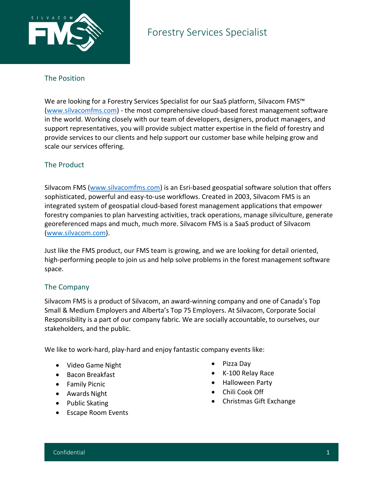

## The Position

We are looking for a Forestry Services Specialist for our SaaS platform, Silvacom FMS™ [\(www.silvacomfms.com\)](http://www.silvacomfms.com/) - the most comprehensive cloud-based forest management software in the world. Working closely with our team of developers, designers, product managers, and support representatives, you will provide subject matter expertise in the field of forestry and provide services to our clients and help support our customer base while helping grow and scale our services offering.

# The Product

Silvacom FMS [\(www.silvacomfms.com\)](http://www.silvacomfms.com/) is an Esri-based geospatial software solution that offers sophisticated, powerful and easy-to-use workflows. Created in 2003, Silvacom FMS is an integrated system of geospatial cloud-based forest management applications that empower forestry companies to plan harvesting activities, track operations, manage silviculture, generate georeferenced maps and much, much more. Silvacom FMS is a SaaS product of Silvacom [\(www.silvacom.com\)](http://www.silvacom.com/).

Just like the FMS product, our FMS team is growing, and we are looking for detail oriented, high-performing people to join us and help solve problems in the forest management software space.

## The Company

Silvacom FMS is a product of Silvacom, an award-winning company and one of Canada's Top Small & Medium Employers and Alberta's Top 75 Employers. At Silvacom, Corporate Social Responsibility is a part of our company fabric. We are socially accountable, to ourselves, our stakeholders, and the public.

We like to work-hard, play-hard and enjoy fantastic company events like:

- Video Game Night
- Bacon Breakfast
- Family Picnic
- Awards Night
- Public Skating
- Escape Room Events
- Pizza Day
- K-100 Relay Race
- Halloween Party
- Chili Cook Off
- Christmas Gift Exchange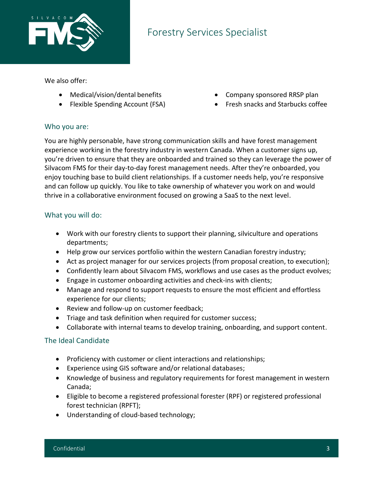

# Forestry Services Specialist

We also offer:

- Medical/vision/dental benefits
- Flexible Spending Account (FSA)
- Company sponsored RRSP plan
- Fresh snacks and Starbucks coffee

#### Who you are:

You are highly personable, have strong communication skills and have forest management experience working in the forestry industry in western Canada. When a customer signs up, you're driven to ensure that they are onboarded and trained so they can leverage the power of Silvacom FMS for their day-to-day forest management needs. After they're onboarded, you enjoy touching base to build client relationships. If a customer needs help, you're responsive and can follow up quickly. You like to take ownership of whatever you work on and would thrive in a collaborative environment focused on growing a SaaS to the next level.

#### What you will do:

- Work with our forestry clients to support their planning, silviculture and operations departments;
- Help grow our services portfolio within the western Canadian forestry industry;
- Act as project manager for our services projects (from proposal creation, to execution);
- Confidently learn about Silvacom FMS, workflows and use cases as the product evolves;
- Engage in customer onboarding activities and check-ins with clients;
- Manage and respond to support requests to ensure the most efficient and effortless experience for our clients;
- Review and follow-up on customer feedback;
- Triage and task definition when required for customer success;
- Collaborate with internal teams to develop training, onboarding, and support content.

## The Ideal Candidate

- Proficiency with customer or client interactions and relationships;
- Experience using GIS software and/or relational databases;
- Knowledge of business and regulatory requirements for forest management in western Canada;
- Eligible to become a registered professional forester (RPF) or registered professional forest technician (RPFT);
- Understanding of cloud-based technology;